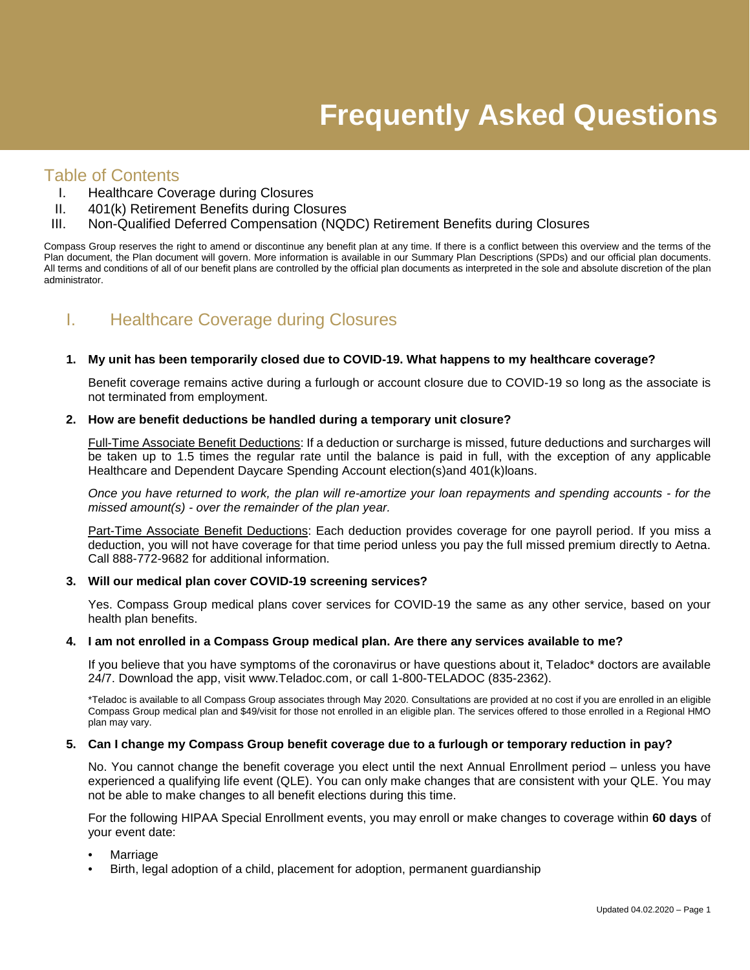# Table of Contents

- I. Healthcare Coverage during Closures
- II. 401(k) Retirement Benefits during Closures
- III. Non-Qualified Deferred Compensation (NQDC) Retirement Benefits during Closures

Compass Group reserves the right to amend or discontinue any benefit plan at any time. If there is a conflict between this overview and the terms of the Plan document, the Plan document will govern. More information is available in our Summary Plan Descriptions (SPDs) and our official plan documents. All terms and conditions of all of our benefit plans are controlled by the official plan documents as interpreted in the sole and absolute discretion of the plan administrator.

# I. Healthcare Coverage during Closures

## **1. My unit has been temporarily closed due to COVID-19. What happens to my healthcare coverage?**

Benefit coverage remains active during a furlough or account closure due to COVID-19 so long as the associate is not terminated from employment.

## **2. How are benefit deductions be handled during a temporary unit closure?**

Full-Time Associate Benefit Deductions: If a deduction or surcharge is missed, future deductions and surcharges will be taken up to 1.5 times the regular rate until the balance is paid in full, with the exception of any applicable Healthcare and Dependent Daycare Spending Account election(s)and 401(k)loans.

*Once you have returned to work, the plan will re-amortize your loan repayments and spending accounts - for the missed amount(s) - over the remainder of the plan year.*

Part-Time Associate Benefit Deductions: Each deduction provides coverage for one payroll period. If you miss a deduction, you will not have coverage for that time period unless you pay the full missed premium directly to Aetna. Call 888-772-9682 for additional information.

#### **3. Will our medical plan cover COVID-19 screening services?**

Yes. Compass Group medical plans cover services for COVID-19 the same as any other service, based on your health plan benefits.

#### **4. I am not enrolled in a Compass Group medical plan. Are there any services available to me?**

If you believe that you have symptoms of the coronavirus or have questions about it, Teladoc\* doctors are available 24/7. Download the app, visit www.Teladoc.com, or call 1-800-TELADOC (835-2362).

\*Teladoc is available to all Compass Group associates through May 2020. Consultations are provided at no cost if you are enrolled in an eligible Compass Group medical plan and \$49/visit for those not enrolled in an eligible plan. The services offered to those enrolled in a Regional HMO plan may vary.

## **5. Can I change my Compass Group benefit coverage due to a furlough or temporary reduction in pay?**

No. You cannot change the benefit coverage you elect until the next Annual Enrollment period – unless you have experienced a qualifying life event (QLE). You can only make changes that are consistent with your QLE. You may not be able to make changes to all benefit elections during this time.

For the following HIPAA Special Enrollment events, you may enroll or make changes to coverage within **60 days** of your event date:

- Marriage
- Birth, legal adoption of a child, placement for adoption, permanent guardianship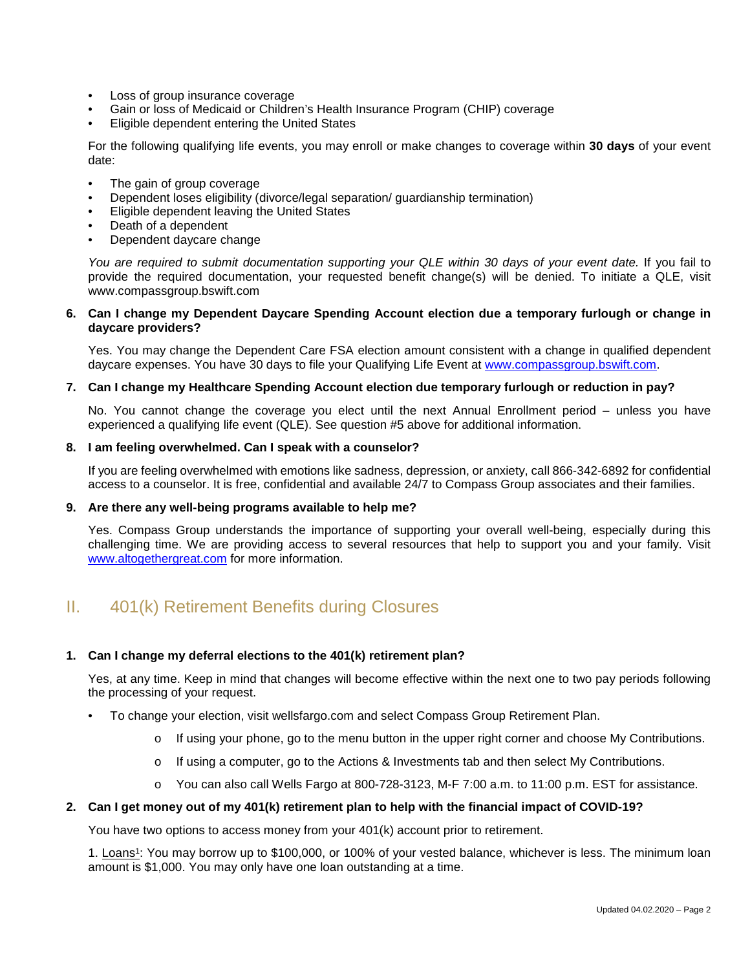- Loss of group insurance coverage
- Gain or loss of Medicaid or Children's Health Insurance Program (CHIP) coverage
- Eligible dependent entering the United States

For the following qualifying life events, you may enroll or make changes to coverage within **30 days** of your event date:

- The gain of group coverage
- Dependent loses eligibility (divorce/legal separation/ guardianship termination)
- Eligible dependent leaving the United States
- Death of a dependent
- Dependent daycare change

You are required to submit documentation supporting your QLE within 30 days of your event date. If you fail to provide the required documentation, your requested benefit change(s) will be denied. To initiate a QLE, visit www.compassgroup.bswift.com

## **6. Can I change my Dependent Daycare Spending Account election due a temporary furlough or change in daycare providers?**

Yes. You may change the Dependent Care FSA election amount consistent with a change in qualified dependent daycare expenses. You have 30 days to file your Qualifying Life Event at [www.compassgroup.bswift.com.](http://www.compassgroup.bswift.com/)

## **7. Can I change my Healthcare Spending Account election due temporary furlough or reduction in pay?**

No. You cannot change the coverage you elect until the next Annual Enrollment period – unless you have experienced a qualifying life event (QLE). See question #5 above for additional information.

#### **8. I am feeling overwhelmed. Can I speak with a counselor?**

If you are feeling overwhelmed with emotions like sadness, depression, or anxiety, call 866-342-6892 for confidential access to a counselor. It is free, confidential and available 24/7 to Compass Group associates and their families.

## **9. Are there any well-being programs available to help me?**

Yes. Compass Group understands the importance of supporting your overall well-being, especially during this challenging time. We are providing access to several resources that help to support you and your family. Visit [www.altogethergreat.com](http://www.altogethergreat.com/) for more information.

# II. 401(k) Retirement Benefits during Closures

## **1. Can I change my deferral elections to the 401(k) retirement plan?**

Yes, at any time. Keep in mind that changes will become effective within the next one to two pay periods following the processing of your request.

- To change your election, visit wellsfargo.com and select Compass Group Retirement Plan.
	- $\circ$  If using your phone, go to the menu button in the upper right corner and choose My Contributions.
	- o If using a computer, go to the Actions & Investments tab and then select My Contributions.
	- o You can also call Wells Fargo at 800-728-3123, M-F 7:00 a.m. to 11:00 p.m. EST for assistance.

#### **2. Can I get money out of my 401(k) retirement plan to help with the financial impact of COVID-19?**

You have two options to access money from your 401(k) account prior to retirement.

1. Loans1: You may borrow up to \$100,000, or 100% of your vested balance, whichever is less. The minimum loan amount is \$1,000. You may only have one loan outstanding at a time.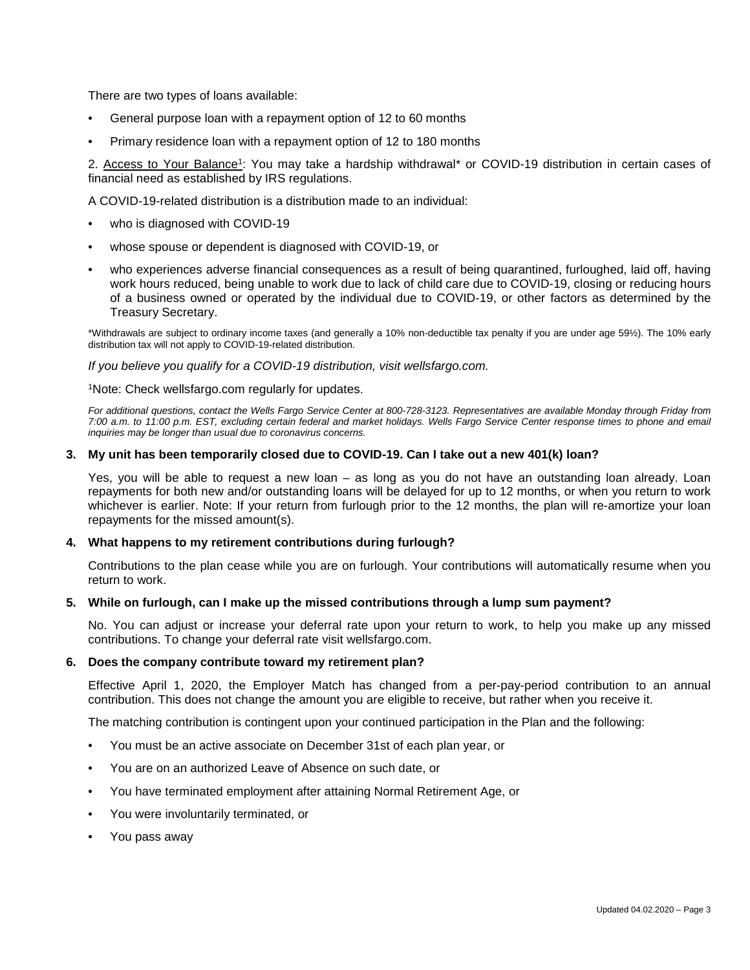There are two types of loans available:

- General purpose loan with a repayment option of 12 to 60 months
- Primary residence loan with a repayment option of 12 to 180 months

2. Access to Your Balance1: You may take a hardship withdrawal\* or COVID-19 distribution in certain cases of financial need as established by IRS regulations.

A COVID-19-related distribution is a distribution made to an individual:

- who is diagnosed with COVID-19
- whose spouse or dependent is diagnosed with COVID-19, or
- who experiences adverse financial consequences as a result of being quarantined, furloughed, laid off, having work hours reduced, being unable to work due to lack of child care due to COVID-19, closing or reducing hours of a business owned or operated by the individual due to COVID-19, or other factors as determined by the Treasury Secretary.

\*Withdrawals are subject to ordinary income taxes (and generally a 10% non-deductible tax penalty if you are under age 59½). The 10% early distribution tax will not apply to COVID-19-related distribution.

*If you believe you qualify for a COVID-19 distribution, visit wellsfargo.com.* 

1Note: Check wellsfargo.com regularly for updates.

*For additional questions, contact the Wells Fargo Service Center at 800-728-3123. Representatives are available Monday through Friday from 7:00 a.m. to 11:00 p.m. EST, excluding certain federal and market holidays. Wells Fargo Service Center response times to phone and email inquiries may be longer than usual due to coronavirus concerns.*

#### **3. My unit has been temporarily closed due to COVID-19. Can I take out a new 401(k) loan?**

Yes, you will be able to request a new loan – as long as you do not have an outstanding loan already. Loan repayments for both new and/or outstanding loans will be delayed for up to 12 months, or when you return to work whichever is earlier. Note: If your return from furlough prior to the 12 months, the plan will re-amortize your loan repayments for the missed amount(s).

#### **4. What happens to my retirement contributions during furlough?**

Contributions to the plan cease while you are on furlough. Your contributions will automatically resume when you return to work.

## **5. While on furlough, can I make up the missed contributions through a lump sum payment?**

No. You can adjust or increase your deferral rate upon your return to work, to help you make up any missed contributions. To change your deferral rate visit wellsfargo.com.

#### **6. Does the company contribute toward my retirement plan?**

Effective April 1, 2020, the Employer Match has changed from a per-pay-period contribution to an annual contribution. This does not change the amount you are eligible to receive, but rather when you receive it.

The matching contribution is contingent upon your continued participation in the Plan and the following:

- You must be an active associate on December 31st of each plan year, or
- You are on an authorized Leave of Absence on such date, or
- You have terminated employment after attaining Normal Retirement Age, or
- You were involuntarily terminated, or
- You pass away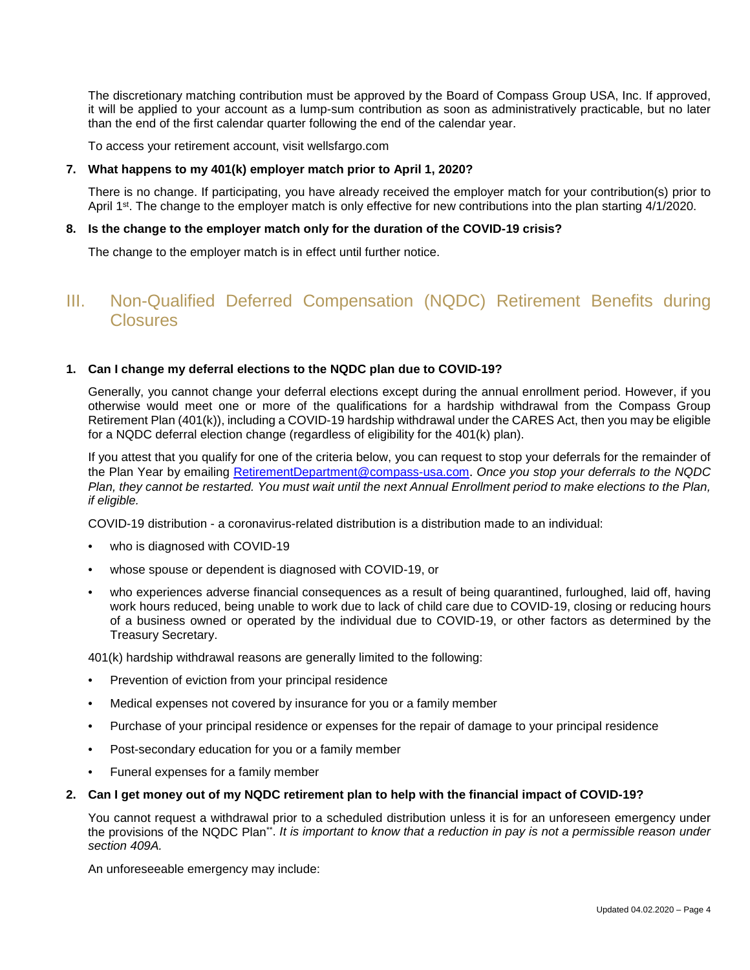The discretionary matching contribution must be approved by the Board of Compass Group USA, Inc. If approved, it will be applied to your account as a lump-sum contribution as soon as administratively practicable, but no later than the end of the first calendar quarter following the end of the calendar year.

To access your retirement account, visit wellsfargo.com

## **7. What happens to my 401(k) employer match prior to April 1, 2020?**

There is no change. If participating, you have already received the employer match for your contribution(s) prior to April 1<sup>st</sup>. The change to the employer match is only effective for new contributions into the plan starting 4/1/2020.

## **8. Is the change to the employer match only for the duration of the COVID-19 crisis?**

The change to the employer match is in effect until further notice.

# III. Non-Qualified Deferred Compensation (NQDC) Retirement Benefits during Closures

## **1. Can I change my deferral elections to the NQDC plan due to COVID-19?**

Generally, you cannot change your deferral elections except during the annual enrollment period. However, if you otherwise would meet one or more of the qualifications for a hardship withdrawal from the Compass Group Retirement Plan (401(k)), including a COVID-19 hardship withdrawal under the CARES Act, then you may be eligible for a NQDC deferral election change (regardless of eligibility for the 401(k) plan).

If you attest that you qualify for one of the criteria below, you can request to stop your deferrals for the remainder of the Plan Year by emailing [RetirementDepartment@compass-usa.com](mailto:RetirementDepartment@compass-usa.com). *Once you stop your deferrals to the NQDC Plan, they cannot be restarted. You must wait until the next Annual Enrollment period to make elections to the Plan, if eligible.*

COVID-19 distribution - a coronavirus-related distribution is a distribution made to an individual:

- who is diagnosed with COVID-19
- whose spouse or dependent is diagnosed with COVID-19, or
- who experiences adverse financial consequences as a result of being quarantined, furloughed, laid off, having work hours reduced, being unable to work due to lack of child care due to COVID-19, closing or reducing hours of a business owned or operated by the individual due to COVID-19, or other factors as determined by the Treasury Secretary.

401(k) hardship withdrawal reasons are generally limited to the following:

- Prevention of eviction from your principal residence
- Medical expenses not covered by insurance for you or a family member
- Purchase of your principal residence or expenses for the repair of damage to your principal residence
- Post-secondary education for you or a family member
- Funeral expenses for a family member

## **2. Can I get money out of my NQDC retirement plan to help with the financial impact of COVID-19?**

You cannot request a withdrawal prior to a scheduled distribution unless it is for an unforeseen emergency under the provisions of the NQDC Plan\*\*. *It is important to know that a reduction in pay is not a permissible reason under section 409A.*

An unforeseeable emergency may include: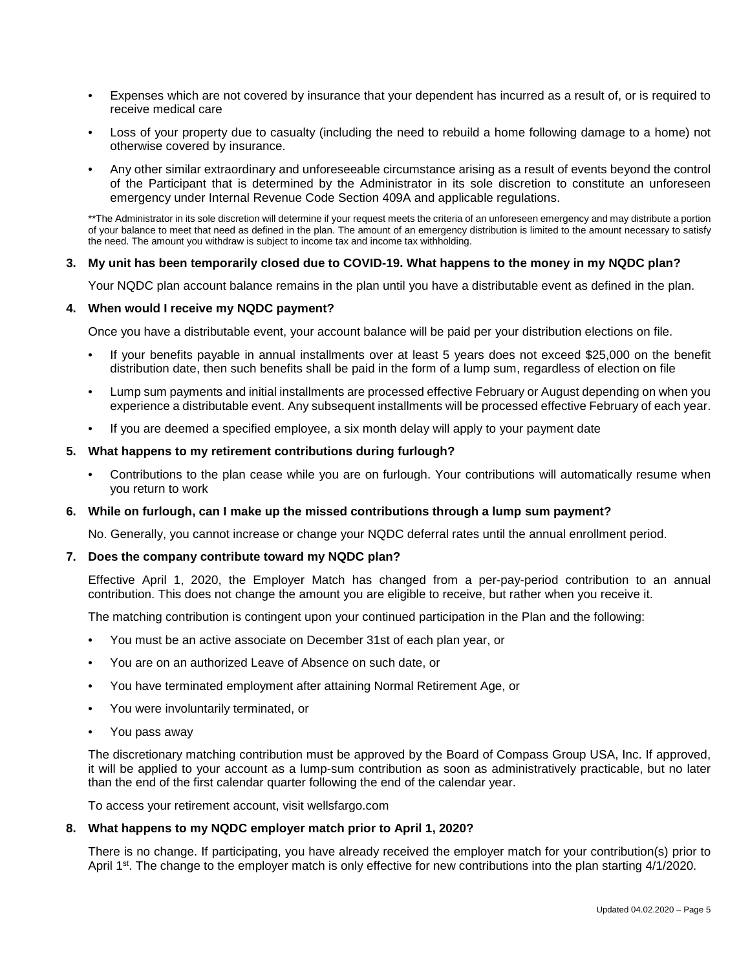- Expenses which are not covered by insurance that your dependent has incurred as a result of, or is required to receive medical care
- Loss of your property due to casualty (including the need to rebuild a home following damage to a home) not otherwise covered by insurance.
- Any other similar extraordinary and unforeseeable circumstance arising as a result of events beyond the control of the Participant that is determined by the Administrator in its sole discretion to constitute an unforeseen emergency under Internal Revenue Code Section 409A and applicable regulations.

\*\*The Administrator in its sole discretion will determine if your request meets the criteria of an unforeseen emergency and may distribute a portion of your balance to meet that need as defined in the plan. The amount of an emergency distribution is limited to the amount necessary to satisfy the need. The amount you withdraw is subject to income tax and income tax withholding.

## **3. My unit has been temporarily closed due to COVID-19. What happens to the money in my NQDC plan?**

Your NQDC plan account balance remains in the plan until you have a distributable event as defined in the plan.

## **4. When would I receive my NQDC payment?**

Once you have a distributable event, your account balance will be paid per your distribution elections on file.

- If your benefits payable in annual installments over at least 5 years does not exceed \$25,000 on the benefit distribution date, then such benefits shall be paid in the form of a lump sum, regardless of election on file
- Lump sum payments and initial installments are processed effective February or August depending on when you experience a distributable event. Any subsequent installments will be processed effective February of each year.
- If you are deemed a specified employee, a six month delay will apply to your payment date

## **5. What happens to my retirement contributions during furlough?**

• Contributions to the plan cease while you are on furlough. Your contributions will automatically resume when you return to work

#### **6. While on furlough, can I make up the missed contributions through a lump sum payment?**

No. Generally, you cannot increase or change your NQDC deferral rates until the annual enrollment period.

#### **7. Does the company contribute toward my NQDC plan?**

Effective April 1, 2020, the Employer Match has changed from a per-pay-period contribution to an annual contribution. This does not change the amount you are eligible to receive, but rather when you receive it.

The matching contribution is contingent upon your continued participation in the Plan and the following:

- You must be an active associate on December 31st of each plan year, or
- You are on an authorized Leave of Absence on such date, or
- You have terminated employment after attaining Normal Retirement Age, or
- You were involuntarily terminated, or
- You pass away

The discretionary matching contribution must be approved by the Board of Compass Group USA, Inc. If approved, it will be applied to your account as a lump-sum contribution as soon as administratively practicable, but no later than the end of the first calendar quarter following the end of the calendar year.

To access your retirement account, visit wellsfargo.com

#### **8. What happens to my NQDC employer match prior to April 1, 2020?**

There is no change. If participating, you have already received the employer match for your contribution(s) prior to April 1<sup>st</sup>. The change to the employer match is only effective for new contributions into the plan starting 4/1/2020.